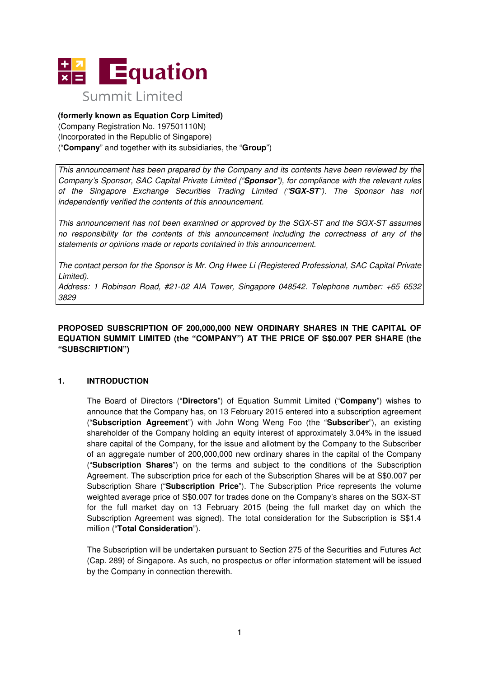

# **(formerly known as Equation Corp Limited)**

(Company Registration No. 197501110N) (Incorporated in the Republic of Singapore) ("**Company**" and together with its subsidiaries, the "**Group**")

This announcement has been prepared by the Company and its contents have been reviewed by the Company's Sponsor, SAC Capital Private Limited ("**Sponsor**"), for compliance with the relevant rules of the Singapore Exchange Securities Trading Limited ("**SGX-ST**"). The Sponsor has not independently verified the contents of this announcement.

This announcement has not been examined or approved by the SGX-ST and the SGX-ST assumes no responsibility for the contents of this announcement including the correctness of any of the statements or opinions made or reports contained in this announcement.

The contact person for the Sponsor is Mr. Ong Hwee Li (Registered Professional, SAC Capital Private Limited).

Address: 1 Robinson Road, #21-02 AIA Tower, Singapore 048542. Telephone number: +65 6532 3829

## **PROPOSED SUBSCRIPTION OF 200,000,000 NEW ORDINARY SHARES IN THE CAPITAL OF EQUATION SUMMIT LIMITED (the "COMPANY") AT THE PRICE OF S\$0.007 PER SHARE (the "SUBSCRIPTION")**

# **1. INTRODUCTION**

The Board of Directors ("**Directors**") of Equation Summit Limited ("**Company**") wishes to announce that the Company has, on 13 February 2015 entered into a subscription agreement ("**Subscription Agreement**") with John Wong Weng Foo (the "**Subscriber**"), an existing shareholder of the Company holding an equity interest of approximately 3.04% in the issued share capital of the Company, for the issue and allotment by the Company to the Subscriber of an aggregate number of 200,000,000 new ordinary shares in the capital of the Company ("**Subscription Shares**") on the terms and subject to the conditions of the Subscription Agreement. The subscription price for each of the Subscription Shares will be at S\$0.007 per Subscription Share ("**Subscription Price**"). The Subscription Price represents the volume weighted average price of S\$0.007 for trades done on the Company's shares on the SGX-ST for the full market day on 13 February 2015 (being the full market day on which the Subscription Agreement was signed). The total consideration for the Subscription is S\$1.4 million ("**Total Consideration**").

The Subscription will be undertaken pursuant to Section 275 of the Securities and Futures Act (Cap. 289) of Singapore. As such, no prospectus or offer information statement will be issued by the Company in connection therewith.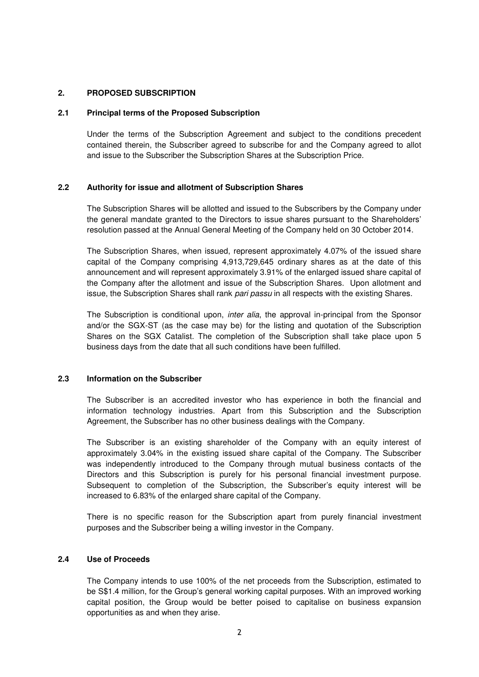### **2. PROPOSED SUBSCRIPTION**

#### **2.1 Principal terms of the Proposed Subscription**

Under the terms of the Subscription Agreement and subject to the conditions precedent contained therein, the Subscriber agreed to subscribe for and the Company agreed to allot and issue to the Subscriber the Subscription Shares at the Subscription Price.

### **2.2 Authority for issue and allotment of Subscription Shares**

The Subscription Shares will be allotted and issued to the Subscribers by the Company under the general mandate granted to the Directors to issue shares pursuant to the Shareholders' resolution passed at the Annual General Meeting of the Company held on 30 October 2014.

The Subscription Shares, when issued, represent approximately 4.07% of the issued share capital of the Company comprising 4,913,729,645 ordinary shares as at the date of this announcement and will represent approximately 3.91% of the enlarged issued share capital of the Company after the allotment and issue of the Subscription Shares. Upon allotment and issue, the Subscription Shares shall rank pari passu in all respects with the existing Shares.

The Subscription is conditional upon, *inter alia*, the approval in-principal from the Sponsor and/or the SGX-ST (as the case may be) for the listing and quotation of the Subscription Shares on the SGX Catalist. The completion of the Subscription shall take place upon 5 business days from the date that all such conditions have been fulfilled.

#### **2.3 Information on the Subscriber**

The Subscriber is an accredited investor who has experience in both the financial and information technology industries. Apart from this Subscription and the Subscription Agreement, the Subscriber has no other business dealings with the Company.

The Subscriber is an existing shareholder of the Company with an equity interest of approximately 3.04% in the existing issued share capital of the Company. The Subscriber was independently introduced to the Company through mutual business contacts of the Directors and this Subscription is purely for his personal financial investment purpose. Subsequent to completion of the Subscription, the Subscriber's equity interest will be increased to 6.83% of the enlarged share capital of the Company.

There is no specific reason for the Subscription apart from purely financial investment purposes and the Subscriber being a willing investor in the Company.

### **2.4 Use of Proceeds**

The Company intends to use 100% of the net proceeds from the Subscription, estimated to be S\$1.4 million, for the Group's general working capital purposes. With an improved working capital position, the Group would be better poised to capitalise on business expansion opportunities as and when they arise.